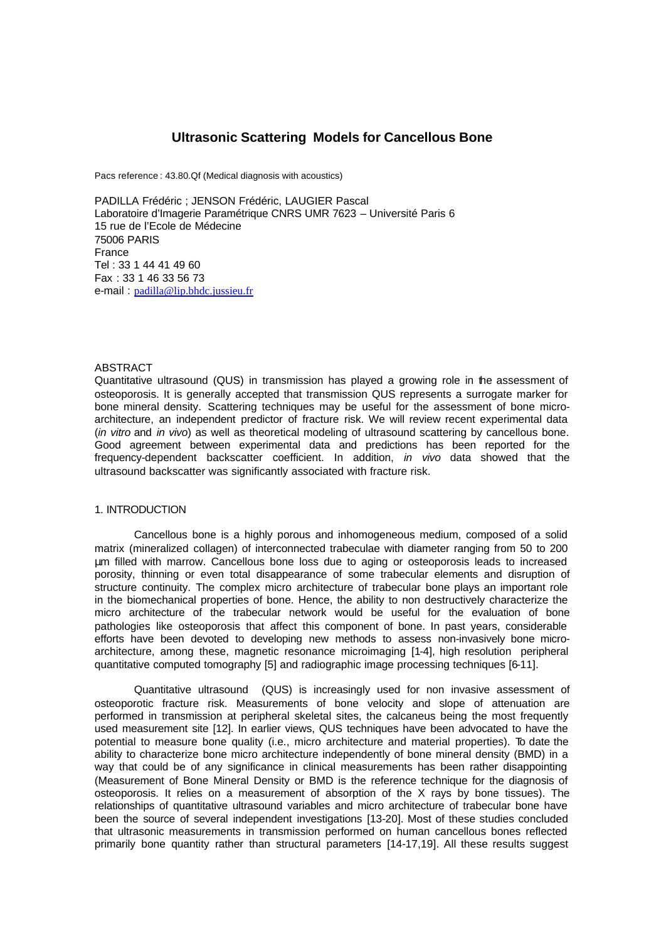# **Ultrasonic Scattering Models for Cancellous Bone**

Pacs reference : 43.80.Qf (Medical diagnosis with acoustics)

PADILLA Frédéric ; JENSON Frédéric, LAUGIER Pascal Laboratoire d'Imagerie Paramétrique CNRS UMR 7623 – Université Paris 6 15 rue de l'Ecole de Médecine 75006 PARIS France Tel : 33 1 44 41 49 60 Fax : 33 1 46 33 56 73 e-mail : padilla@lip.bhdc.jussieu.fr

# **ABSTRACT**

Quantitative ultrasound (QUS) in transmission has played a growing role in the assessment of osteoporosis. It is generally accepted that transmission QUS represents a surrogate marker for bone mineral density. Scattering techniques may be useful for the assessment of bone microarchitecture, an independent predictor of fracture risk. We will review recent experimental data (*in vitro* and *in vivo*) as well as theoretical modeling of ultrasound scattering by cancellous bone. Good agreement between experimental data and predictions has been reported for the frequency-dependent backscatter coefficient. In addition, *in vivo* data showed that the ultrasound backscatter was significantly associated with fracture risk.

# 1. INTRODUCTION

Cancellous bone is a highly porous and inhomogeneous medium, composed of a solid matrix (mineralized collagen) of interconnected trabeculae with diameter ranging from 50 to 200 μm filled with marrow. Cancellous bone loss due to aging or osteoporosis leads to increased porosity, thinning or even total disappearance of some trabecular elements and disruption of structure continuity. The complex micro architecture of trabecular bone plays an important role in the biomechanical properties of bone. Hence, the ability to non destructively characterize the micro architecture of the trabecular network would be useful for the evaluation of bone pathologies like osteoporosis that affect this component of bone. In past years, considerable efforts have been devoted to developing new methods to assess non-invasively bone microarchitecture, among these, magnetic resonance microimaging [1-4], high resolution peripheral quantitative computed tomography [5] and radiographic image processing techniques [6-11].

Quantitative ultrasound (QUS) is increasingly used for non invasive assessment of osteoporotic fracture risk. Measurements of bone velocity and slope of attenuation are performed in transmission at peripheral skeletal sites, the calcaneus being the most frequently used measurement site [12]. In earlier views, QUS techniques have been advocated to have the potential to measure bone quality (i.e., micro architecture and material properties). To date the ability to characterize bone micro architecture independently of bone mineral density (BMD) in a way that could be of any significance in clinical measurements has been rather disappointing (Measurement of Bone Mineral Density or BMD is the reference technique for the diagnosis of osteoporosis. It relies on a measurement of absorption of the X rays by bone tissues). The relationships of quantitative ultrasound variables and micro architecture of trabecular bone have been the source of several independent investigations [13-20]. Most of these studies concluded that ultrasonic measurements in transmission performed on human cancellous bones reflected primarily bone quantity rather than structural parameters [14-17,19]. All these results suggest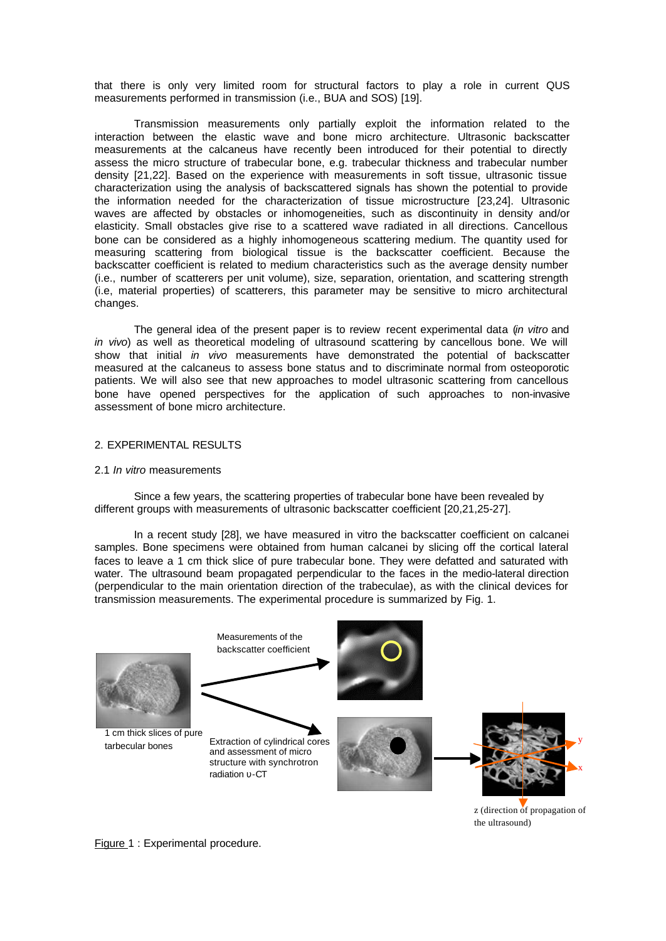that there is only very limited room for structural factors to play a role in current QUS measurements performed in transmission (i.e., BUA and SOS) [19].

Transmission measurements only partially exploit the information related to the interaction between the elastic wave and bone micro architecture. Ultrasonic backscatter measurements at the calcaneus have recently been introduced for their potential to directly assess the micro structure of trabecular bone, e.g. trabecular thickness and trabecular number density [21,22]. Based on the experience with measurements in soft tissue, ultrasonic tissue characterization using the analysis of backscattered signals has shown the potential to provide the information needed for the characterization of tissue microstructure [23,24]. Ultrasonic waves are affected by obstacles or inhomogeneities, such as discontinuity in density and/or elasticity. Small obstacles give rise to a scattered wave radiated in all directions. Cancellous bone can be considered as a highly inhomogeneous scattering medium. The quantity used for measuring scattering from biological tissue is the backscatter coefficient. Because the backscatter coefficient is related to medium characteristics such as the average density number (i.e., number of scatterers per unit volume), size, separation, orientation, and scattering strength (i.e, material properties) of scatterers, this parameter may be sensitive to micro architectural changes.

The general idea of the present paper is to review recent experimental data (*in vitro* and *in vivo*) as well as theoretical modeling of ultrasound scattering by cancellous bone. We will show that initial *in vivo* measurements have demonstrated the potential of backscatter measured at the calcaneus to assess bone status and to discriminate normal from osteoporotic patients. We will also see that new approaches to model ultrasonic scattering from cancellous bone have opened perspectives for the application of such approaches to non-invasive assessment of bone micro architecture.

## 2. EXPERIMENTAL RESULTS

### 2.1 *In vitro* measurements

Since a few years, the scattering properties of trabecular bone have been revealed by different groups with measurements of ultrasonic backscatter coefficient [20,21,25-27].

In a recent study [28], we have measured in vitro the backscatter coefficient on calcanei samples. Bone specimens were obtained from human calcanei by slicing off the cortical lateral faces to leave a 1 cm thick slice of pure trabecular bone. They were defatted and saturated with water. The ultrasound beam propagated perpendicular to the faces in the medio-lateral direction (perpendicular to the main orientation direction of the trabeculae), as with the clinical devices for transmission measurements. The experimental procedure is summarized by Fig. 1.



z (direction of propagation of the ultrasound)

Figure 1 : Experimental procedure.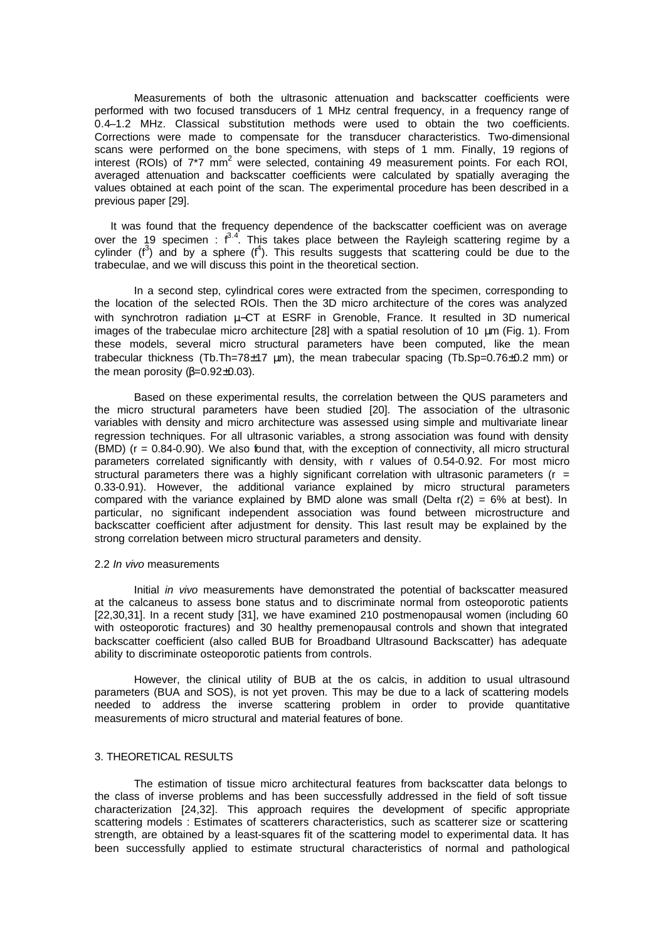Measurements of both the ultrasonic attenuation and backscatter coefficients were performed with two focused transducers of 1 MHz central frequency, in a frequency range of 0.4–1.2 MHz. Classical substitution methods were used to obtain the two coefficients. Corrections were made to compensate for the transducer characteristics. Two-dimensional scans were performed on the bone specimens, with steps of 1 mm. Finally, 19 regions of interest (ROIs) of  $7^{\ast}7$  mm<sup>2</sup> were selected, containing 49 measurement points. For each ROI, averaged attenuation and backscatter coefficients were calculated by spatially averaging the values obtained at each point of the scan. The experimental procedure has been described in a previous paper [29].

It was found that the frequency dependence of the backscatter coefficient was on average over the 19 specimen :  $f^{3.4}$ . This takes place between the Rayleigh scattering regime by a cylinder  $(f^3)$  and by a sphere  $(f^4)$ . This results suggests that scattering could be due to the trabeculae, and we will discuss this point in the theoretical section.

In a second step, cylindrical cores were extracted from the specimen, corresponding to the location of the selected ROIs. Then the 3D micro architecture of the cores was analyzed with synchrotron radiation μ−CT at ESRF in Grenoble, France. It resulted in 3D numerical images of the trabeculae micro architecture [28] with a spatial resolution of 10 μm (Fig. 1). From these models, several micro structural parameters have been computed, like the mean trabecular thickness (Tb.Th=78 $\pm$ 17 µm), the mean trabecular spacing (Tb.Sp=0.76 $\pm$ 0.2 mm) or the mean porosity  $(\beta=0.92\pm0.03)$ .

Based on these experimental results, the correlation between the QUS parameters and the micro structural parameters have been studied [20]. The association of the ultrasonic variables with density and micro architecture was assessed using simple and multivariate linear regression techniques. For all ultrasonic variables, a strong association was found with density  $(BMD)$  ( $r = 0.84-0.90$ ). We also found that, with the exception of connectivity, all micro structural parameters correlated significantly with density, with r values of 0.54-0.92. For most micro structural parameters there was a highly significant correlation with ultrasonic parameters ( $r =$ 0.33-0.91). However, the additional variance explained by micro structural parameters compared with the variance explained by BMD alone was small (Delta  $r(2) = 6\%$  at best). In particular, no significant independent association was found between microstructure and backscatter coefficient after adjustment for density. This last result may be explained by the strong correlation between micro structural parameters and density.

#### 2.2 *In vivo* measurements

Initial *in vivo* measurements have demonstrated the potential of backscatter measured at the calcaneus to assess bone status and to discriminate normal from osteoporotic patients [22,30,31]. In a recent study [31], we have examined 210 postmenopausal women (including 60 with osteoporotic fractures) and 30 healthy premenopausal controls and shown that integrated backscatter coefficient (also called BUB for Broadband Ultrasound Backscatter) has adequate ability to discriminate osteoporotic patients from controls.

However, the clinical utility of BUB at the os calcis, in addition to usual ultrasound parameters (BUA and SOS), is not yet proven. This may be due to a lack of scattering models needed to address the inverse scattering problem in order to provide quantitative measurements of micro structural and material features of bone.

# 3. THEORETICAL RESULTS

The estimation of tissue micro architectural features from backscatter data belongs to the class of inverse problems and has been successfully addressed in the field of soft tissue characterization [24,32]. This approach requires the development of specific appropriate scattering models : Estimates of scatterers characteristics, such as scatterer size or scattering strength, are obtained by a least-squares fit of the scattering model to experimental data. It has been successfully applied to estimate structural characteristics of normal and pathological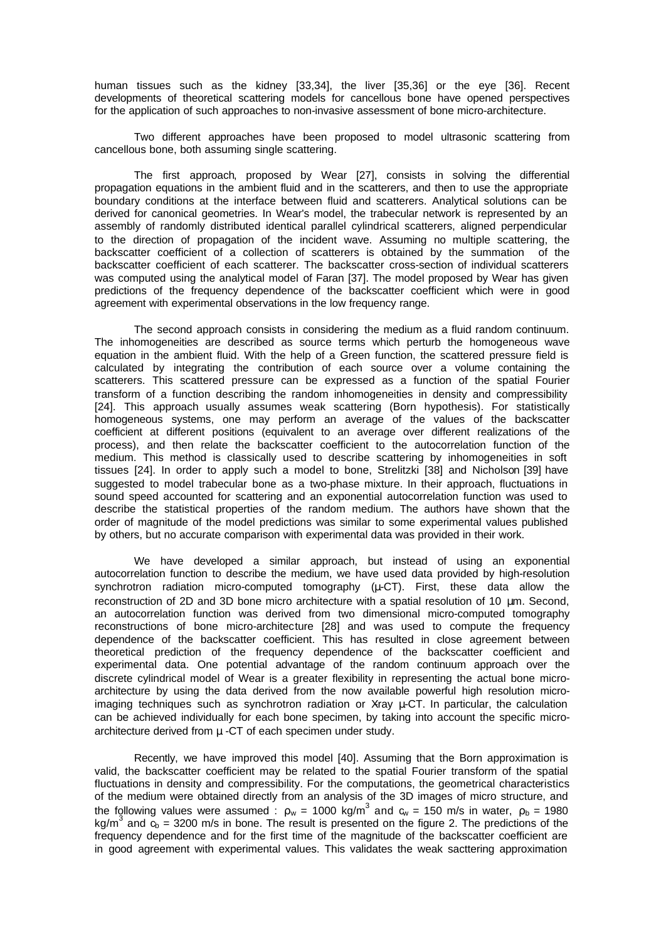human tissues such as the kidney [33,34], the liver [35,36] or the eye [36]. Recent developments of theoretical scattering models for cancellous bone have opened perspectives for the application of such approaches to non-invasive assessment of bone micro-architecture.

Two different approaches have been proposed to model ultrasonic scattering from cancellous bone, both assuming single scattering.

The first approach, proposed by Wear [27], consists in solving the differential propagation equations in the ambient fluid and in the scatterers, and then to use the appropriate boundary conditions at the interface between fluid and scatterers. Analytical solutions can be derived for canonical geometries. In Wear's model, the trabecular network is represented by an assembly of randomly distributed identical parallel cylindrical scatterers, aligned perpendicular to the direction of propagation of the incident wave. Assuming no multiple scattering, the backscatter coefficient of a collection of scatterers is obtained by the summation of the backscatter coefficient of each scatterer. The backscatter cross-section of individual scatterers was computed using the analytical model of Faran [37]. The model proposed by Wear has given predictions of the frequency dependence of the backscatter coefficient which were in good agreement with experimental observations in the low frequency range.

The second approach consists in considering the medium as a fluid random continuum. The inhomogeneities are described as source terms which perturb the homogeneous wave equation in the ambient fluid. With the help of a Green function, the scattered pressure field is calculated by integrating the contribution of each source over a volume containing the scatterers. This scattered pressure can be expressed as a function of the spatial Fourier transform of a function describing the random inhomogeneities in density and compressibility [24]. This approach usually assumes weak scattering (Born hypothesis). For statistically homogeneous systems, one may perform an average of the values of the backscatter coefficient at different positions (equivalent to an average over different realizations of the process), and then relate the backscatter coefficient to the autocorrelation function of the medium. This method is classically used to describe scattering by inhomogeneities in soft tissues [24]. In order to apply such a model to bone, Strelitzki [38] and Nicholson [39] have suggested to model trabecular bone as a two-phase mixture. In their approach, fluctuations in sound speed accounted for scattering and an exponential autocorrelation function was used to describe the statistical properties of the random medium. The authors have shown that the order of magnitude of the model predictions was similar to some experimental values published by others, but no accurate comparison with experimental data was provided in their work.

We have developed a similar approach, but instead of using an exponential autocorrelation function to describe the medium, we have used data provided by high-resolution synchrotron radiation micro-computed tomography (μ-CT). First, these data allow the reconstruction of 2D and 3D bone micro architecture with a spatial resolution of 10 μm. Second, an autocorrelation function was derived from two dimensional micro-computed tomography reconstructions of bone micro-architecture [28] and was used to compute the frequency dependence of the backscatter coefficient. This has resulted in close agreement between theoretical prediction of the frequency dependence of the backscatter coefficient and experimental data. One potential advantage of the random continuum approach over the discrete cylindrical model of Wear is a greater flexibility in representing the actual bone microarchitecture by using the data derived from the now available powerful high resolution microimaging techniques such as synchrotron radiation or Xray  $\mu$ -CT. In particular, the calculation can be achieved individually for each bone specimen, by taking into account the specific microarchitecture derived from μ -CT of each specimen under study.

Recently, we have improved this model [40]. Assuming that the Born approximation is valid, the backscatter coefficient may be related to the spatial Fourier transform of the spatial fluctuations in density and compressibility. For the computations, the geometrical characteristics of the medium were obtained directly from an analysis of the 3D images of micro structure, and the following values were assumed :  $\rho_w$  = 1000 kg/m<sup>3</sup> and  $c_w$  = 150 m/s in water,  $\rho_b$  = 1980 kg/m<sup>3</sup> and  $\tilde{q}_b$  = 3200 m/s in bone. The result is presented on the figure 2. The predictions of the frequency dependence and for the first time of the magnitude of the backscatter coefficient are in good agreement with experimental values. This validates the weak sacttering approximation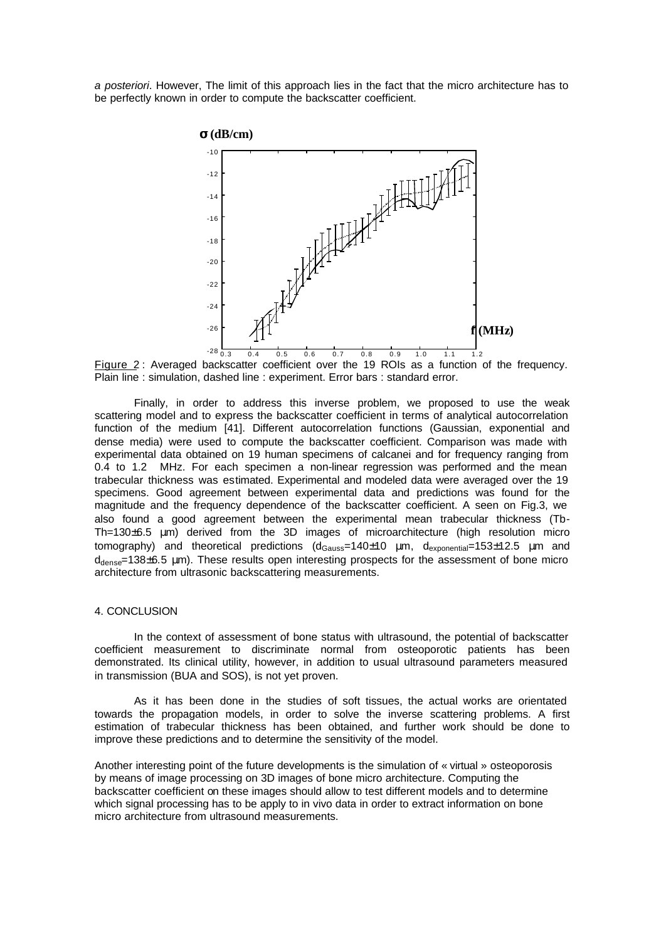*a posteriori*. However, The limit of this approach lies in the fact that the micro architecture has to be perfectly known in order to compute the backscatter coefficient.



Figure 2: Averaged backscatter coefficient over the 19 ROIs as a function of the frequency. Plain line : simulation, dashed line : experiment. Error bars : standard error.

Finally, in order to address this inverse problem, we proposed to use the weak scattering model and to express the backscatter coefficient in terms of analytical autocorrelation function of the medium [41]. Different autocorrelation functions (Gaussian, exponential and dense media) were used to compute the backscatter coefficient. Comparison was made with experimental data obtained on 19 human specimens of calcanei and for frequency ranging from 0.4 to 1.2 MHz. For each specimen a non-linear regression was performed and the mean trabecular thickness was estimated. Experimental and modeled data were averaged over the 19 specimens. Good agreement between experimental data and predictions was found for the magnitude and the frequency dependence of the backscatter coefficient. A seen on Fig.3, we also found a good agreement between the experimental mean trabecular thickness (Tb-Th=130±6.5 μm) derived from the 3D images of microarchitecture (high resolution micro tomography) and theoretical predictions  $(d_{Gauss}=140±10 \mu m, d_{exponential}=153±12.5 \mu m$  and  $d_{\text{dense}}$ =138 $\pm$ 6.5 µm). These results open interesting prospects for the assessment of bone micro architecture from ultrasonic backscattering measurements.

### 4. CONCLUSION

In the context of assessment of bone status with ultrasound, the potential of backscatter coefficient measurement to discriminate normal from osteoporotic patients has been demonstrated. Its clinical utility, however, in addition to usual ultrasound parameters measured in transmission (BUA and SOS), is not yet proven.

As it has been done in the studies of soft tissues, the actual works are orientated towards the propagation models, in order to solve the inverse scattering problems. A first estimation of trabecular thickness has been obtained, and further work should be done to improve these predictions and to determine the sensitivity of the model.

Another interesting point of the future developments is the simulation of « virtual » osteoporosis by means of image processing on 3D images of bone micro architecture. Computing the backscatter coefficient on these images should allow to test different models and to determine which signal processing has to be apply to in vivo data in order to extract information on bone micro architecture from ultrasound measurements.